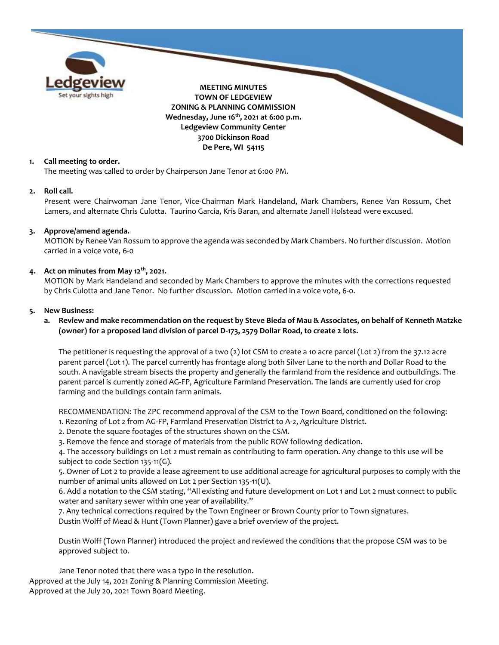

# **1. Call meeting to order.**

The meeting was called to order by Chairperson Jane Tenor at 6:00 PM.

#### **2. Roll call.**

Present were Chairwoman Jane Tenor, Vice-Chairman Mark Handeland, Mark Chambers, Renee Van Rossum, Chet Lamers, and alternate Chris Culotta. Taurino Garcia, Kris Baran, and alternate Janell Holstead were excused.

#### **3. Approve/amend agenda.**

MOTION by Renee Van Rossum to approve the agenda was seconded by Mark Chambers. No further discussion. Motion carried in a voice vote, 6-0

### **4. Act on minutes from May 12th, 2021.**

MOTION by Mark Handeland and seconded by Mark Chambers to approve the minutes with the corrections requested by Chris Culotta and Jane Tenor. No further discussion. Motion carried in a voice vote, 6-0.

#### **5. New Business:**

## **a. Review and make recommendation on the request by Steve Bieda of Mau & Associates, on behalf of Kenneth Matzke (owner) for a proposed land division of parcel D-173, 2579 Dollar Road, to create 2 lots.**

The petitioner is requesting the approval of a two (2) lot CSM to create a 10 acre parcel (Lot 2) from the 37.12 acre parent parcel (Lot 1). The parcel currently has frontage along both Silver Lane to the north and Dollar Road to the south. A navigable stream bisects the property and generally the farmland from the residence and outbuildings. The parent parcel is currently zoned AG-FP, Agriculture Farmland Preservation. The lands are currently used for crop farming and the buildings contain farm animals.

RECOMMENDATION: The ZPC recommend approval of the CSM to the Town Board, conditioned on the following:

- 1. Rezoning of Lot 2 from AG-FP, Farmland Preservation District to A-2, Agriculture District.
- 2. Denote the square footages of the structures shown on the CSM.

3. Remove the fence and storage of materials from the public ROW following dedication.

4. The accessory buildings on Lot 2 must remain as contributing to farm operation. Any change to this use will be subject to code Section 135-11(G).

5. Owner of Lot 2 to provide a lease agreement to use additional acreage for agricultural purposes to comply with the number of animal units allowed on Lot 2 per Section 135-11(U).

6. Add a notation to the CSM stating, "All existing and future development on Lot 1 and Lot 2 must connect to public water and sanitary sewer within one year of availability."

7. Any technical corrections required by the Town Engineer or Brown County prior to Town signatures. Dustin Wolff of Mead & Hunt (Town Planner) gave a brief overview of the project.

Dustin Wolff (Town Planner) introduced the project and reviewed the conditions that the propose CSM was to be approved subject to.

Approved at the July 14, 2021 Zoning & Planning Commission Meeting. Approved at the July 20, 2021 Town Board Meeting. Jane Tenor noted that there was a typo in the resolution.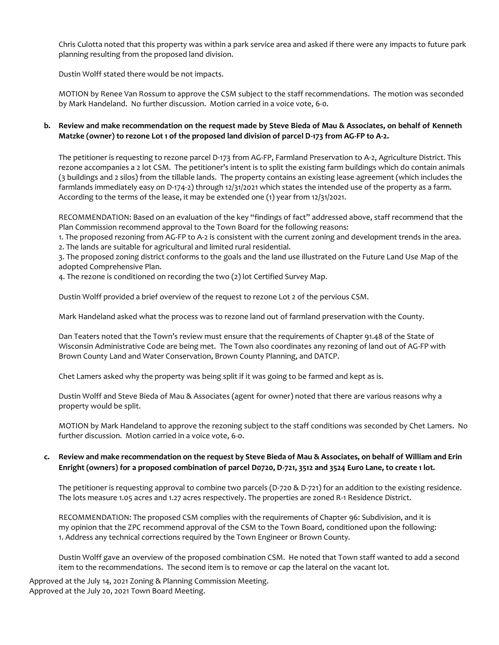Chris Culotta noted that this property was within a park service area and asked if there were any impacts to future park planning resulting from the proposed land division.

Dustin Wolff stated there would be not impacts.

MOTION by Renee Van Rossum to approve the CSM subject to the staff recommendations. The motion was seconded by Mark Handeland. No further discussion. Motion carried in a voice vote, 6-0.

## **b. Review and make recommendation on the request made by Steve Bieda of Mau & Associates, on behalf of Kenneth Matzke (owner) to rezone Lot 1 of the proposed land division of parcel D-173 from AG-FP to A-2.**

The petitioner is requesting to rezone parcel D-173 from AG-FP, Farmland Preservation to A-2, Agriculture District. This rezone accompanies a 2 lot CSM. The petitioner's intent is to split the existing farm buildings which do contain animals (3 buildings and 2 silos) from the tillable lands. The property contains an existing lease agreement (which includes the farmlands immediately easy on D-174-2) through 12/31/2021 which states the intended use of the property as a farm. According to the terms of the lease, it may be extended one (1) year from 12/31/2021.

RECOMMENDATION: Based on an evaluation of the key "findings of fact" addressed above, staff recommend that the Plan Commission recommend approval to the Town Board for the following reasons:

1. The proposed rezoning from AG-FP to A-2 is consistent with the current zoning and development trends in the area. 2. The lands are suitable for agricultural and limited rural residential.

3. The proposed zoning district conforms to the goals and the land use illustrated on the Future Land Use Map of the adopted Comprehensive Plan.

4. The rezone is conditioned on recording the two (2) lot Certified Survey Map.

Dustin Wolff provided a brief overview of the request to rezone Lot 2 of the pervious CSM.

Mark Handeland asked what the process was to rezone land out of farmland preservation with the County.

Dan Teaters noted that the Town's review must ensure that the requirements of Chapter 91.48 of the State of Wisconsin Administrative Code are being met. The Town also coordinates any rezoning of land out of AG-FP with Brown County Land and Water Conservation, Brown County Planning, and DATCP.

Chet Lamers asked why the property was being split if it was going to be farmed and kept as is.

Dustin Wolff and Steve Bieda of Mau & Associates (agent for owner) noted that there are various reasons why a property would be split.

MOTION by Mark Handeland to approve the rezoning subject to the staff conditions was seconded by Chet Lamers. No further discussion. Motion carried in a voice vote, 6-0.

### **c. Review and make recommendation on the request by Steve Bieda of Mau & Associates, on behalf of William and Erin Enright (owners) for a proposed combination of parcel D0720, D-721, 3512 and 3524 Euro Lane, to create 1 lot.**

The petitioner is requesting approval to combine two parcels (D-720 & D-721) for an addition to the existing residence. The lots measure 1.05 acres and 1.27 acres respectively. The properties are zoned R-1 Residence District.

RECOMMENDATION: The proposed CSM complies with the requirements of Chapter 96: Subdivision, and it is my opinion that the ZPC recommend approval of the CSM to the Town Board, conditioned upon the following: 1. Address any technical corrections required by the Town Engineer or Brown County.

Dustin Wolff gave an overview of the proposed combination CSM. He noted that Town staff wanted to add a second item to the recommendations. The second item is to remove or cap the lateral on the vacant lot.

Approved at the July 14, 2021 Zoning & Planning Commission Meeting. Approved at the July 20, 2021 Town Board Meeting.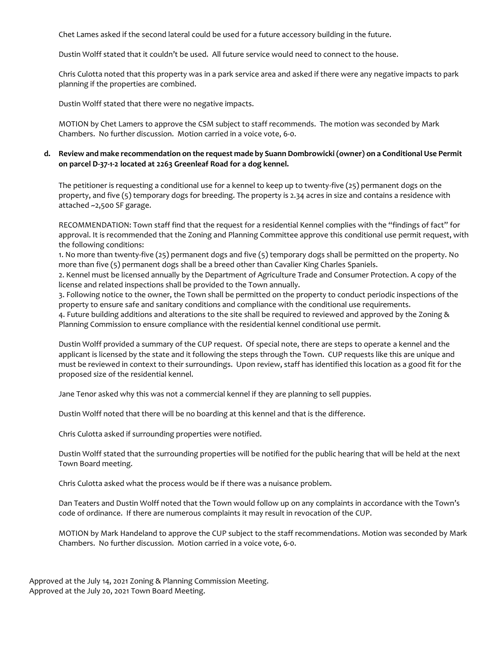Chet Lames asked if the second lateral could be used for a future accessory building in the future.

Dustin Wolff stated that it couldn't be used. All future service would need to connect to the house.

Chris Culotta noted that this property was in a park service area and asked if there were any negative impacts to park planning if the properties are combined.

Dustin Wolff stated that there were no negative impacts.

MOTION by Chet Lamers to approve the CSM subject to staff recommends. The motion was seconded by Mark Chambers. No further discussion. Motion carried in a voice vote, 6-0.

# **d. Review and make recommendation on the request made by Suann Dombrowicki (owner) on a Conditional Use Permit on parcel D-37-1-2 located at 2263 Greenleaf Road for a dog kennel.**

The petitioner is requesting a conditional use for a kennel to keep up to twenty-five (25) permanent dogs on the property, and five (5) temporary dogs for breeding. The property is 2.34 acres in size and contains a residence with attached ~2,500 SF garage.

RECOMMENDATION: Town staff find that the request for a residential Kennel complies with the "findings of fact" for approval. It is recommended that the Zoning and Planning Committee approve this conditional use permit request, with the following conditions:

1. No more than twenty-five (25) permanent dogs and five (5) temporary dogs shall be permitted on the property. No more than five (5) permanent dogs shall be a breed other than Cavalier King Charles Spaniels.

2. Kennel must be licensed annually by the Department of Agriculture Trade and Consumer Protection. A copy of the license and related inspections shall be provided to the Town annually.

3. Following notice to the owner, the Town shall be permitted on the property to conduct periodic inspections of the property to ensure safe and sanitary conditions and compliance with the conditional use requirements.

4. Future building additions and alterations to the site shall be required to reviewed and approved by the Zoning & Planning Commission to ensure compliance with the residential kennel conditional use permit.

Dustin Wolff provided a summary of the CUP request. Of special note, there are steps to operate a kennel and the applicant is licensed by the state and it following the steps through the Town. CUP requests like this are unique and must be reviewed in context to their surroundings. Upon review, staff has identified this location as a good fit for the proposed size of the residential kennel.

Jane Tenor asked why this was not a commercial kennel if they are planning to sell puppies.

Dustin Wolff noted that there will be no boarding at this kennel and that is the difference.

Chris Culotta asked if surrounding properties were notified.

Dustin Wolff stated that the surrounding properties will be notified for the public hearing that will be held at the next Town Board meeting.

Chris Culotta asked what the process would be if there was a nuisance problem.

Dan Teaters and Dustin Wolff noted that the Town would follow up on any complaints in accordance with the Town's code of ordinance. If there are numerous complaints it may result in revocation of the CUP.

MOTION by Mark Handeland to approve the CUP subject to the staff recommendations. Motion was seconded by Mark Chambers. No further discussion. Motion carried in a voice vote, 6-0.

Approved at the July 14, 2021 Zoning & Planning Commission Meeting. Approved at the July 20, 2021 Town Board Meeting.